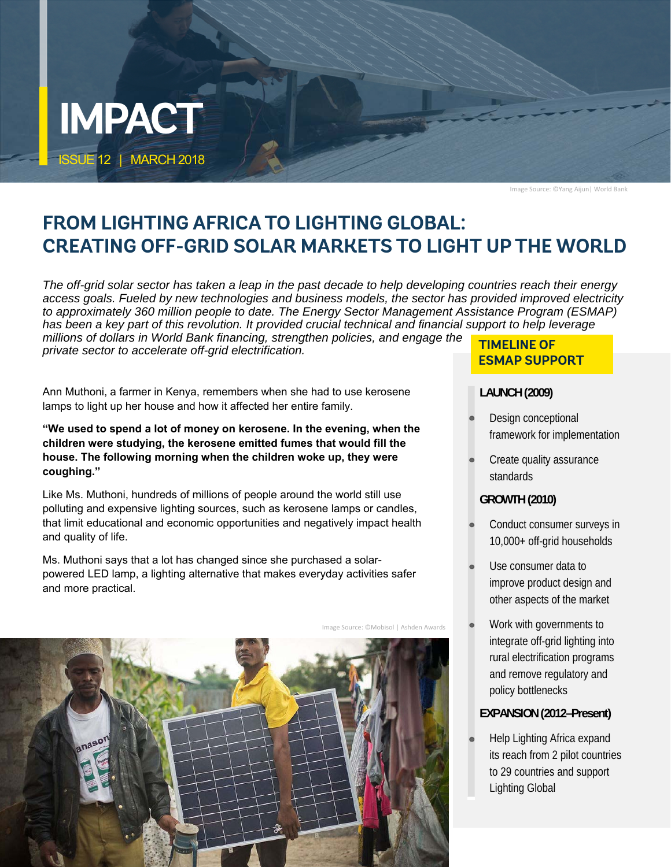

Image Source: ©Yang Aijun| World Bank

# **FROM LIGHTING AFRICA TO LIGHTING GLOBAL: CREATING OFF-GRID SOLAR MARKETS TO LIGHT UP THE WORLD**

*The off-grid solar sector has taken a leap in the past decade to help developing countries reach their energy access goals. Fueled by new technologies and business models, the sector has provided improved electricity to approximately 360 million people to date. The Energy Sector Management Assistance Program (ESMAP) has been a key part of this revolution. It provided crucial technical and financial support to help leverage millions of dollars in World Bank financing, strengthen policies, and engage the private sector to accelerate off-grid electrification.*

Ann Muthoni, a farmer in Kenya, remembers when she had to use kerosene lamps to light up her house and how it affected her entire family.

**"We used to spend a lot of money on kerosene. In the evening, when the children were studying, the kerosene emitted fumes that would fill the house. The following morning when the children woke up, they were coughing."** 

Like Ms. Muthoni, hundreds of millions of people around the world still use polluting and expensive lighting sources, such as kerosene lamps or candles, that limit educational and economic opportunities and negatively impact health and quality of life.

Ms. Muthoni says that a lot has changed since she purchased a solarpowered LED lamp, a lighting alternative that makes everyday activities safer and more practical.

Image Source: ©Mobisol | Ashden Awards



### **TIMELINE OF ESMAP SUPPORT**

### **LAUNCH (2009)**

- Design conceptional framework for implementation
- Create quality assurance standards

### **GROWTH (2010)**

- Conduct consumer surveys in 10,000+ off-grid households
- Use consumer data to improve product design and other aspects of the market
- Work with governments to integrate off-grid lighting into rural electrification programs and remove regulatory and policy bottlenecks

### **EXPANSION (2012–Present)**

 Help Lighting Africa expand its reach from 2 pilot countries to 29 countries and support Lighting Global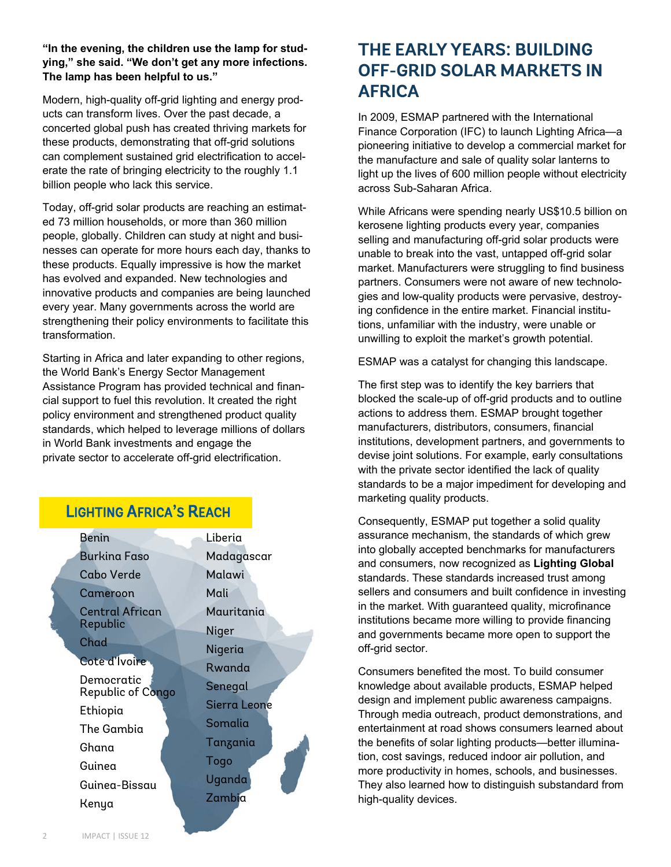**"In the evening, the children use the lamp for studying," she said. "We don't get any more infections. The lamp has been helpful to us."** 

Modern, high-quality off-grid lighting and energy products can transform lives. Over the past decade, a concerted global push has created thriving markets for these products, demonstrating that off-grid solutions can complement sustained grid electrification to accelerate the rate of bringing electricity to the roughly 1.1 billion people who lack this service.

Today, off-grid solar products are reaching an estimated 73 million households, or more than 360 million people, globally. Children can study at night and businesses can operate for more hours each day, thanks to these products. Equally impressive is how the market has evolved and expanded. New technologies and innovative products and companies are being launched every year. Many governments across the world are strengthening their policy environments to facilitate this transformation.

Starting in Africa and later expanding to other regions, the World Bank's Energy Sector Management Assistance Program has provided technical and financial support to fuel this revolution. It created the right policy environment and strengthened product quality standards, which helped to leverage millions of dollars in World Bank investments and engage the private sector to accelerate off-grid electrification.

## **LIGHTING AFRICA'S REACH**

| Benin                           | Liberia      |
|---------------------------------|--------------|
| <b>Burking Faso</b>             | Madagascar   |
| <b>Cabo Verde</b>               | Malawi       |
| Cameroon                        | Mali         |
| Central African                 | Mauritania   |
| Republic                        | Niger        |
| Chad                            | Nigeria      |
| Cote d'Ivoire                   | Rwanda       |
| Democratic<br>Republic of Congo | Senegal      |
| Ethiopia                        | Sierra Leone |
| The Gambia                      | Somalia      |
| Ghana                           | Tanzania     |
| Guinea                          | Togo         |
| Guinea-Bissau                   | Uganda       |
| Kenya                           | Zambia       |
|                                 |              |

 $\sim 10$ 

## **THE EARLY YEARS: BUILDING OFF-GRID SOLAR MARKETS IN AFRICA**

In 2009, ESMAP partnered with the International Finance Corporation (IFC) to launch Lighting Africa—a pioneering initiative to develop a commercial market for the manufacture and sale of quality solar lanterns to light up the lives of 600 million people without electricity across Sub-Saharan Africa.

While Africans were spending nearly US\$10.5 billion on kerosene lighting products every year, companies selling and manufacturing off-grid solar products were unable to break into the vast, untapped off-grid solar market. Manufacturers were struggling to find business partners. Consumers were not aware of new technologies and low-quality products were pervasive, destroying confidence in the entire market. Financial institutions, unfamiliar with the industry, were unable or unwilling to exploit the market's growth potential.

ESMAP was a catalyst for changing this landscape.

The first step was to identify the key barriers that blocked the scale-up of off-grid products and to outline actions to address them. ESMAP brought together manufacturers, distributors, consumers, financial institutions, development partners, and governments to devise joint solutions. For example, early consultations with the private sector identified the lack of quality standards to be a major impediment for developing and marketing quality products.

Consequently, ESMAP put together a solid quality assurance mechanism, the standards of which grew into globally accepted benchmarks for manufacturers and consumers, now recognized as **Lighting Global**  standards. These standards increased trust among sellers and consumers and built confidence in investing in the market. With guaranteed quality, microfinance institutions became more willing to provide financing and governments became more open to support the off-grid sector.

Consumers benefited the most. To build consumer knowledge about available products, ESMAP helped design and implement public awareness campaigns. Through media outreach, product demonstrations, and entertainment at road shows consumers learned about the benefits of solar lighting products—better illumination, cost savings, reduced indoor air pollution, and more productivity in homes, schools, and businesses. They also learned how to distinguish substandard from high-quality devices.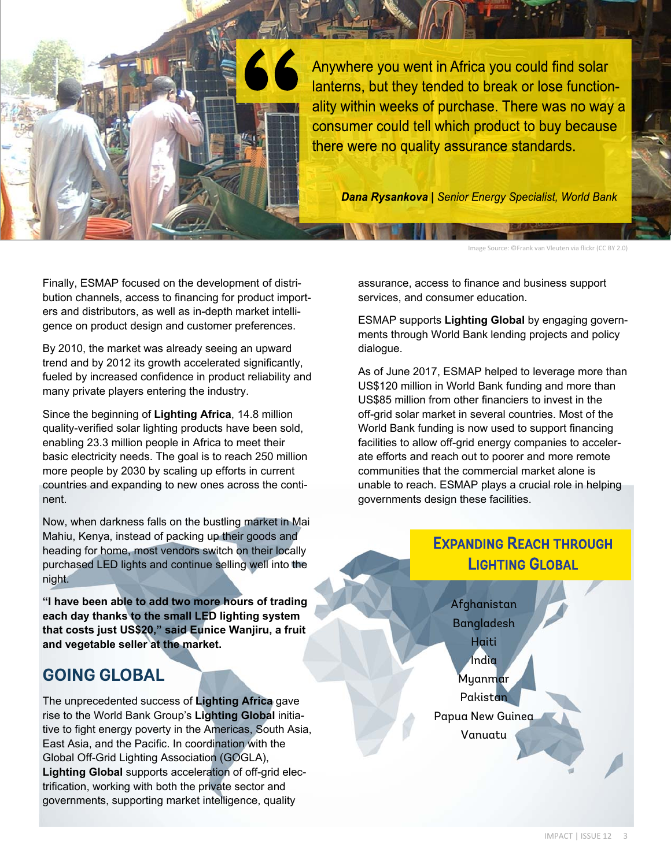

**Dana Rysankova** | Senior Energy Specialist, World Bank

Image Source: ©Frank van Vleuten via flickr (CC BY 2.0)

Finally, ESMAP focused on the development of distribution channels, access to financing for product importers and distributors, as well as in-depth market intelligence on product design and customer preferences.

By 2010, the market was already seeing an upward trend and by 2012 its growth accelerated significantly, fueled by increased confidence in product reliability and many private players entering the industry.

Since the beginning of **Lighting Africa**, 14.8 million quality-verified solar lighting products have been sold, enabling 23.3 million people in Africa to meet their basic electricity needs. The goal is to reach 250 million more people by 2030 by scaling up efforts in current countries and expanding to new ones across the continent.

Now, when darkness falls on the bustling market in Mai Mahiu, Kenya, instead of packing up their goods and heading for home, most vendors switch on their locally purchased LED lights and continue selling well into the night.

**"I have been able to add two more hours of trading each day thanks to the small LED lighting system that costs just US\$20," said Eunice Wanjiru, a fruit and vegetable seller at the market.** 

## **GOING GLOBAL**

The unprecedented success of **Lighting Africa** gave rise to the World Bank Group's **Lighting Global** initiative to fight energy poverty in the Americas, South Asia, East Asia, and the Pacific. In coordination with the Global Off-Grid Lighting Association (GOGLA), **Lighting Global** supports acceleration of off-grid electrification, working with both the private sector and governments, supporting market intelligence, quality

assurance, access to finance and business support services, and consumer education.

ESMAP supports **Lighting Global** by engaging governments through World Bank lending projects and policy dialogue.

As of June 2017, ESMAP helped to leverage more than US\$120 million in World Bank funding and more than US\$85 million from other financiers to invest in the off-grid solar market in several countries. Most of the World Bank funding is now used to support financing facilities to allow off-grid energy companies to accelerate efforts and reach out to poorer and more remote communities that the commercial market alone is unable to reach. ESMAP plays a crucial role in helping governments design these facilities.

## **EXPANDING REACH THROUGH LIGHTING GLOBAL**

Afghanistan Bangladesh Haiti **India** Myanmar Pakistan Papua New Guinea Vanuatu